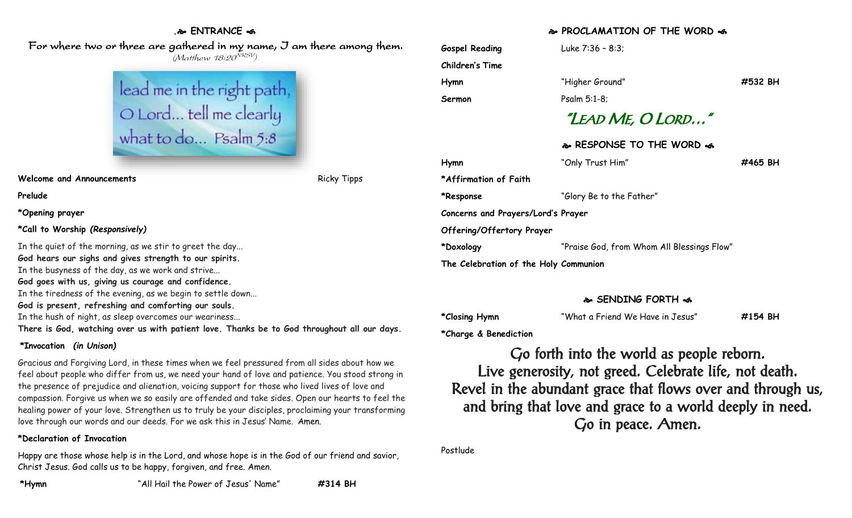## **. ENTRANCE**

 For where two or three are gathered in my name, I am there among them. (Matthew 18:20<sup>NRSV</sup>)



**Welcome and Announcements Ricky Tipps** Ricky Tipps

**Prelude**

**\*Opening prayer**

**\*Call to Worship** *(Responsively)*

In the quiet of the morning, as we stir to greet the day... **God hears our sighs and gives strength to our spirits.** In the busyness of the day, as we work and strive... **God goes with us, giving us courage and confidence.** In the tiredness of the evening, as we begin to settle down... **God is present, refreshing and comforting our souls.** In the hush of night, as sleep overcomes our weariness... **There is God, watching over us with patient love. Thanks be to God throughout all our days.**

#### **\*Invocation** *(in Unison)*

Gracious and Forgiving Lord, in these times when we feel pressured from all sides about how we feel about people who differ from us, we need your hand of love and patience. You stood strong in the presence of prejudice and alienation, voicing support for those who lived lives of love and compassion. Forgive us when we so easily are offended and take sides. Open our hearts to feel the healing power of your love. Strengthen us to truly be your disciples, proclaiming your transforming love through our words and our deeds. For we ask this in Jesus' Name. Amen.

#### **\*Declaration of Invocation**

Happy are those whose help is in the Lord, and whose hope is in the God of our friend and savior, Christ Jesus. God calls us to be happy, forgiven, and free. Amen.

#### **PROCLAMATION OF THE WORD**

| <b>Gospel Reading</b>                 | Luke $7:36 - 8:3$ ;                        |         |
|---------------------------------------|--------------------------------------------|---------|
| Children's Time                       |                                            |         |
| Hymn                                  | "Higher Ground"                            | #532 BH |
| Sermon                                | Psalm 5:1-8;                               |         |
|                                       | "LEAD ME, O LORD"                          |         |
|                                       | & RESPONSE TO THE WORD &                   |         |
| Hymn                                  | "Only Trust Him"                           | #465 BH |
| *Affirmation of Faith                 |                                            |         |
| *Response                             | "Glory Be to the Father"                   |         |
| Concerns and Prayers/Lord's Prayer    |                                            |         |
| Offering/Offertory Prayer             |                                            |         |
| *Doxology                             | "Praise God, from Whom All Blessings Flow" |         |
| The Celebration of the Holy Communion |                                            |         |

### **SENDING FORTH**

**\*Closing Hymn** "What a Friend We Have in Jesus" **#154 BH**

**\*Charge & Benediction**

Go forth into the world as people reborn. Live generosity, not greed. Celebrate life, not death. Revel in the abundant grace that flows over and through us, and bring that love and grace to a world deeply in need. Go in peace. Amen.

Postlude